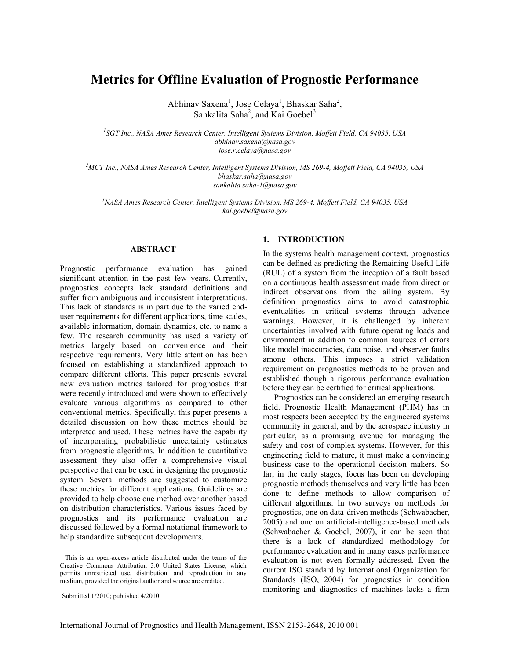# **Metrics for Offline Evaluation of Prognostic Performance**

Abhinav Saxena<sup>1</sup>, Jose Celaya<sup>1</sup>, Bhaskar Saha<sup>2</sup>, Sankalita Saha<sup>2</sup>, and Kai Goebel<sup>3</sup>

*1 SGT Inc., NASA Ames Research Center, Intelligent Systems Division, Moffett Field, CA 94035, USA abhinav.saxena@nasa.gov jose.r.celaya@nasa.gov*

*<sup>2</sup>MCT Inc., NASA Ames Research Center, Intelligent Systems Division, MS 269-4, Moffett Field, CA 94035, USA bhaskar.saha@nasa.gov sankalita.saha-1@nasa.gov*

*<sup>3</sup>NASA Ames Research Center, Intelligent Systems Division, MS 269-4, Moffett Field, CA 94035, USA kai.goebel@nasa.gov*

#### **ABSTRACT**

Prognostic performance evaluation has gained significant attention in the past few years. Currently, prognostics concepts lack standard definitions and suffer from ambiguous and inconsistent interpretations. This lack of standards is in part due to the varied enduser requirements for different applications, time scales, available information, domain dynamics, etc. to name a few. The research community has used a variety of metrics largely based on convenience and their respective requirements. Very little attention has been focused on establishing a standardized approach to compare different efforts. This paper presents several new evaluation metrics tailored for prognostics that were recently introduced and were shown to effectively evaluate various algorithms as compared to other conventional metrics. Specifically, this paper presents a detailed discussion on how these metrics should be interpreted and used. These metrics have the capability of incorporating probabilistic uncertainty estimates from prognostic algorithms. In addition to quantitative assessment they also offer a comprehensive visual perspective that can be used in designing the prognostic system. Several methods are suggested to customize these metrics for different applications. Guidelines are provided to help choose one method over another based on distribution characteristics. Various issues faced by prognostics and its performance evaluation are discussed followed by a formal notational framework to help standardize subsequent developments.

## **1. INTRODUCTION**

In the systems health management context, prognostics can be defined as predicting the Remaining Useful Life (RUL) of a system from the inception of a fault based on a continuous health assessment made from direct or indirect observations from the ailing system. By definition prognostics aims to avoid catastrophic eventualities in critical systems through advance warnings. However, it is challenged by inherent uncertainties involved with future operating loads and environment in addition to common sources of errors like model inaccuracies, data noise, and observer faults among others. This imposes a strict validation requirement on prognostics methods to be proven and established though a rigorous performance evaluation before they can be certified for critical applications.

Prognostics can be considered an emerging research field. Prognostic Health Management (PHM) has in most respects been accepted by the engineered systems community in general, and by the aerospace industry in particular, as a promising avenue for managing the safety and cost of complex systems. However, for this engineering field to mature, it must make a convincing business case to the operational decision makers. So far, in the early stages, focus has been on developing prognostic methods themselves and very little has been done to define methods to allow comparison of different algorithms. In two surveys on methods for prognostics, one on data-driven methods (Schwabacher, 2005) and one on artificial-intelligence-based methods (Schwabacher & Goebel, 2007), it can be seen that there is a lack of standardized methodology for performance evaluation and in many cases performance evaluation is not even formally addressed. Even the current ISO standard by International Organization for Standards (ISO, 2004) for prognostics in condition monitoring and diagnostics of machines lacks a firm

 $\overline{a}$ 

This is an open-access article distributed under the terms of the Creative Commons Attribution 3.0 United States License, which permits unrestricted use, distribution, and reproduction in any medium, provided the original author and source are credited.

Submitted 1/2010; published 4/2010.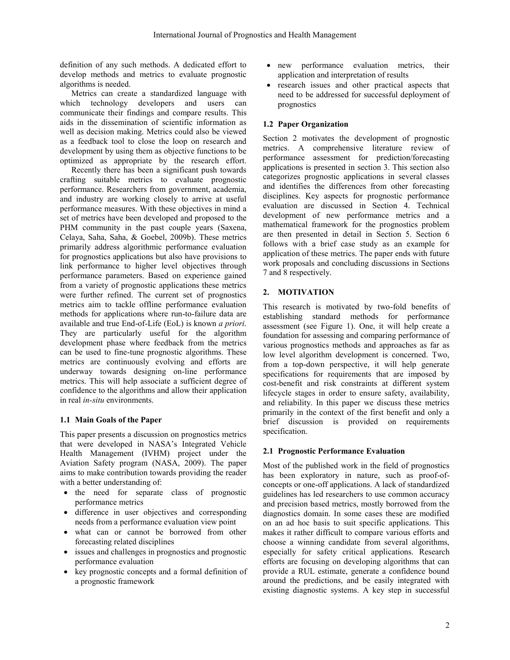definition of any such methods. A dedicated effort to develop methods and metrics to evaluate prognostic algorithms is needed.

Metrics can create a standardized language with which technology developers and users can communicate their findings and compare results. This aids in the dissemination of scientific information as well as decision making. Metrics could also be viewed as a feedback tool to close the loop on research and development by using them as objective functions to be optimized as appropriate by the research effort.

Recently there has been a significant push towards crafting suitable metrics to evaluate prognostic performance. Researchers from government, academia, and industry are working closely to arrive at useful performance measures. With these objectives in mind a set of metrics have been developed and proposed to the PHM community in the past couple years (Saxena, Celaya, Saha, Saha, & Goebel, 2009b). These metrics primarily address algorithmic performance evaluation for prognostics applications but also have provisions to link performance to higher level objectives through performance parameters. Based on experience gained from a variety of prognostic applications these metrics were further refined. The current set of prognostics metrics aim to tackle offline performance evaluation methods for applications where run-to-failure data are available and true End-of-Life (EoL) is known *a priori*. They are particularly useful for the algorithm development phase where feedback from the metrics can be used to fine-tune prognostic algorithms. These metrics are continuously evolving and efforts are underway towards designing on-line performance metrics. This will help associate a sufficient degree of confidence to the algorithms and allow their application in real *in-situ* environments.

# **1.1 Main Goals of the Paper**

This paper presents a discussion on prognostics metrics that were developed in NASA"s Integrated Vehicle Health Management (IVHM) project under the Aviation Safety program (NASA, 2009). The paper aims to make contribution towards providing the reader with a better understanding of:

- the need for separate class of prognostic performance metrics
- difference in user objectives and corresponding needs from a performance evaluation view point
- what can or cannot be borrowed from other forecasting related disciplines
- issues and challenges in prognostics and prognostic performance evaluation
- key prognostic concepts and a formal definition of a prognostic framework
- new performance evaluation metrics, their application and interpretation of results
- research issues and other practical aspects that need to be addressed for successful deployment of prognostics

#### **1.2 Paper Organization**

Section 2 motivates the development of prognostic metrics. A comprehensive literature review of performance assessment for prediction/forecasting applications is presented in section 3. This section also categorizes prognostic applications in several classes and identifies the differences from other forecasting disciplines. Key aspects for prognostic performance evaluation are discussed in Section 4. Technical development of new performance metrics and a mathematical framework for the prognostics problem are then presented in detail in Section 5. Section 6 follows with a brief case study as an example for application of these metrics. The paper ends with future work proposals and concluding discussions in Sections 7 and 8 respectively.

## **2. MOTIVATION**

This research is motivated by two-fold benefits of establishing standard methods for performance assessment (see [Figure 1\)](#page-2-0). One, it will help create a foundation for assessing and comparing performance of various prognostics methods and approaches as far as low level algorithm development is concerned. Two, from a top-down perspective, it will help generate specifications for requirements that are imposed by cost-benefit and risk constraints at different system lifecycle stages in order to ensure safety, availability, and reliability. In this paper we discuss these metrics primarily in the context of the first benefit and only a brief discussion is provided on requirements specification.

#### **2.1 Prognostic Performance Evaluation**

Most of the published work in the field of prognostics has been exploratory in nature, such as proof-ofconcepts or one-off applications. A lack of standardized guidelines has led researchers to use common accuracy and precision based metrics, mostly borrowed from the diagnostics domain. In some cases these are modified on an ad hoc basis to suit specific applications. This makes it rather difficult to compare various efforts and choose a winning candidate from several algorithms, especially for safety critical applications. Research efforts are focusing on developing algorithms that can provide a RUL estimate, generate a confidence bound around the predictions, and be easily integrated with existing diagnostic systems. A key step in successful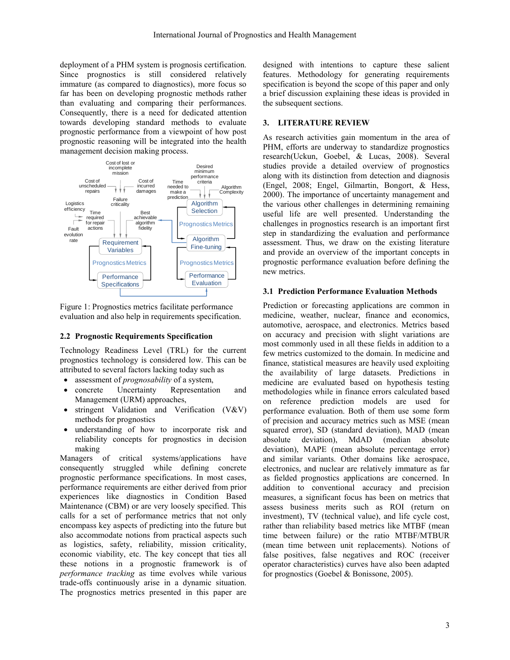deployment of a PHM system is prognosis certification. Since prognostics is still considered relatively immature (as compared to diagnostics), more focus so far has been on developing prognostic methods rather than evaluating and comparing their performances. Consequently, there is a need for dedicated attention towards developing standard methods to evaluate prognostic performance from a viewpoint of how post prognostic reasoning will be integrated into the health management decision making process.



<span id="page-2-0"></span>Figure 1: Prognostics metrics facilitate performance evaluation and also help in requirements specification.

#### **2.2 Prognostic Requirements Specification**

Technology Readiness Level (TRL) for the current prognostics technology is considered low. This can be attributed to several factors lacking today such as

- assessment of *prognosability* of a system,
- concrete Uncertainty Representation and Management (URM) approaches,
- stringent Validation and Verification (V&V) methods for prognostics
- understanding of how to incorporate risk and reliability concepts for prognostics in decision making

Managers of critical systems/applications have consequently struggled while defining concrete prognostic performance specifications. In most cases, performance requirements are either derived from prior experiences like diagnostics in Condition Based Maintenance (CBM) or are very loosely specified. This calls for a set of performance metrics that not only encompass key aspects of predicting into the future but also accommodate notions from practical aspects such as logistics, safety, reliability, mission criticality, economic viability, etc. The key concept that ties all these notions in a prognostic framework is of *performance tracking* as time evolves while various trade-offs continuously arise in a dynamic situation. The prognostics metrics presented in this paper are

designed with intentions to capture these salient features. Methodology for generating requirements specification is beyond the scope of this paper and only a brief discussion explaining these ideas is provided in the subsequent sections.

# **3. LITERATURE REVIEW**

As research activities gain momentum in the area of PHM, efforts are underway to standardize prognostics research(Uckun, Goebel, & Lucas, 2008). Several studies provide a detailed overview of prognostics along with its distinction from detection and diagnosis (Engel, 2008; Engel, Gilmartin, Bongort, & Hess, 2000). The importance of uncertainty management and the various other challenges in determining remaining useful life are well presented. Understanding the challenges in prognostics research is an important first step in standardizing the evaluation and performance assessment. Thus, we draw on the existing literature and provide an overview of the important concepts in prognostic performance evaluation before defining the new metrics.

# **3.1 Prediction Performance Evaluation Methods**

Prediction or forecasting applications are common in medicine, weather, nuclear, finance and economics, automotive, aerospace, and electronics. Metrics based on accuracy and precision with slight variations are most commonly used in all these fields in addition to a few metrics customized to the domain. In medicine and finance, statistical measures are heavily used exploiting the availability of large datasets. Predictions in medicine are evaluated based on hypothesis testing methodologies while in finance errors calculated based on reference prediction models are used for performance evaluation. Both of them use some form of precision and accuracy metrics such as MSE (mean squared error), SD (standard deviation), MAD (mean absolute deviation), MdAD (median absolute deviation), MAPE (mean absolute percentage error) and similar variants. Other domains like aerospace, electronics, and nuclear are relatively immature as far as fielded prognostics applications are concerned. In addition to conventional accuracy and precision measures, a significant focus has been on metrics that assess business merits such as ROI (return on investment), TV (technical value), and life cycle cost, rather than reliability based metrics like MTBF (mean time between failure) or the ratio MTBF/MTBUR (mean time between unit replacements). Notions of false positives, false negatives and ROC (receiver operator characteristics) curves have also been adapted for prognostics (Goebel & Bonissone, 2005).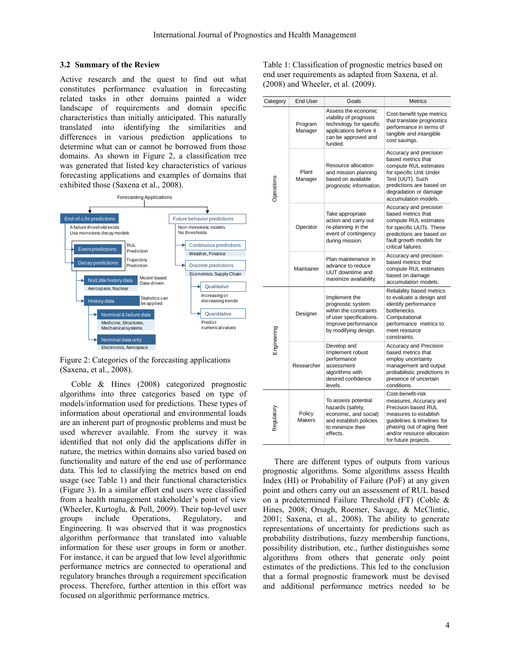#### **3.2 Summary of the Review**

Active research and the quest to find out what constitutes performance evaluation in forecasting related tasks in other domains painted a wider landscape of requirements and domain specific characteristics than initially anticipated. This naturally translated into identifying the similarities and differences in various prediction applications to determine what can or cannot be borrowed from those domains. As shown in [Figure 2,](#page-3-0) a classification tree was generated that listed key characteristics of various forecasting applications and examples of domains that exhibited those (Saxena et al., 2008).



<span id="page-3-0"></span>Figure 2: Categories of the forecasting applications (Saxena, et al., 2008).

Coble & Hines (2008) categorized prognostic algorithms into three categories based on type of models/information used for predictions. These types of information about operational and environmental loads are an inherent part of prognostic problems and must be used wherever available. From the survey it was identified that not only did the applications differ in nature, the metrics within domains also varied based on functionality and nature of the end use of performance data. This led to classifying the metrics based on end usage (see [Table 1\)](#page-3-1) and their functional characteristics [\(Figure 3\)](#page-4-0). In a similar effort end users were classified from a health management stakeholder"s point of view (Wheeler, Kurtoglu, & Poll, 2009). Their top-level user groups include Operations, Regulatory, and Engineering. It was observed that it was prognostics algorithm performance that translated into valuable information for these user groups in form or another. For instance, it can be argued that low level algorithmic performance metrics are connected to operational and regulatory branches through a requirement specification process. Therefore, further attention in this effort was focused on algorithmic performance metrics.

<span id="page-3-1"></span>Table 1: Classification of prognostic metrics based on end user requirements as adapted from Saxena, et al. (2008) and Wheeler, et al. (2009).

| Category    | <b>End User</b>         | Goals                                                                                                                                  | <b>Metrics</b>                                                                                                                                                                                                |  |
|-------------|-------------------------|----------------------------------------------------------------------------------------------------------------------------------------|---------------------------------------------------------------------------------------------------------------------------------------------------------------------------------------------------------------|--|
| Operations  | Program<br>Manager      | Assess the economic<br>viability of prognosis<br>technology for specific<br>applications before it<br>can be approved and<br>funded.   | Cost-benefit type metrics<br>that translate prognostics<br>performance in terms of<br>tangible and intangible<br>cost savings.                                                                                |  |
|             | Plant<br>Manager        | Resource allocation<br>and mission planning<br>based on available<br>prognostic information.                                           | Accuracy and precision<br>based metrics that<br>compute RUL estimates<br>for specific Unit Under<br>Test (UUT). Such<br>predictions are based on<br>degradation or damage<br>accumulation models.             |  |
|             | Operator                | Take appropriate<br>action and carry out<br>re-planning in the<br>event of contingency<br>during mission.                              | Accuracy and precision<br>based metrics that<br>compute RUL estimates<br>for specific UUTs. These<br>predictions are based on<br>fault growth models for<br>critical failures.                                |  |
|             | Maintainer              | Plan maintenance in<br>advance to reduce<br>UUT downtime and<br>maximize availability.                                                 | Accuracy and precision<br>based metrics that<br>compute RUL estimates<br>based on damage<br>accumulation models.                                                                                              |  |
| Engineering | Designer                | Implement the<br>prognostic system<br>within the constraints<br>of user specifications.<br>Improve performance<br>by modifying design. | Reliability based metrics<br>to evaluate a design and<br>identify performance<br>bottlenecks.<br>Computational<br>performance metrics to<br>meet resource<br>constraints.                                     |  |
|             | Researcher              | Develop and<br>Implement robust<br>performance<br>assessment<br>algorithms with<br>desired confidence<br>levels.                       | Accuracy and Precision<br>based metrics that<br>employ uncertainty<br>management and output<br>probabilistic predictions in<br>presence of uncertain<br>conditions.                                           |  |
| Regulatory  | Policy<br><b>Makers</b> | To assess potential<br>hazards (safety,<br>economic, and social)<br>and establish policies<br>to minimize their<br>effects.            | Cost-benefit-risk<br>measures, Accuracy and<br>Precision based RUL<br>measures to establish<br>guidelines & timelines for<br>phasing out of aging fleet<br>and/or resource allocation<br>for future projects. |  |

There are different types of outputs from various prognostic algorithms. Some algorithms assess Health Index (HI) or Probability of Failure (PoF) at any given point and others carry out an assessment of RUL based on a predetermined Failure Threshold (FT) (Coble & Hines, 2008; Orsagh, Roemer, Savage, & McClintic, 2001; Saxena, et al., 2008). The ability to generate representations of uncertainty for predictions such as probability distributions, fuzzy membership functions, possibility distribution, etc., further distinguishes some algorithms from others that generate only point estimates of the predictions. This led to the conclusion that a formal prognostic framework must be devised and additional performance metrics needed to be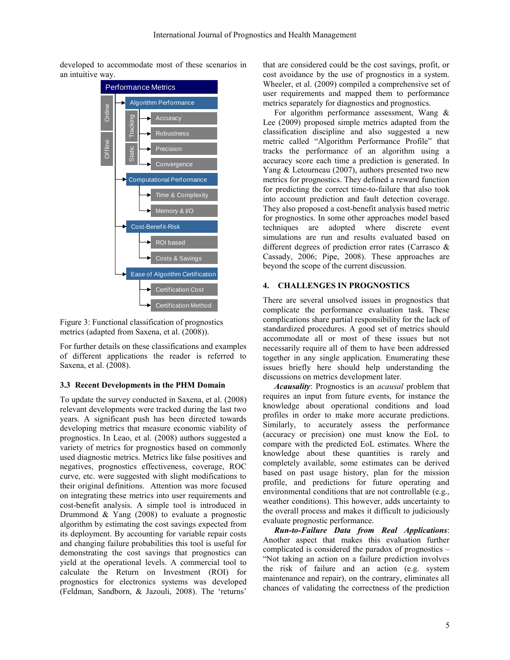developed to accommodate most of these scenarios in an intuitive way.



<span id="page-4-0"></span>Figure 3: Functional classification of prognostics metrics (adapted from Saxena, et al. (2008)).

For further details on these classifications and examples of different applications the reader is referred to Saxena, et al. (2008).

# **3.3 Recent Developments in the PHM Domain**

To update the survey conducted in Saxena, et al. (2008) relevant developments were tracked during the last two years. A significant push has been directed towards developing metrics that measure economic viability of prognostics. In Leao, et al. (2008) authors suggested a variety of metrics for prognostics based on commonly used diagnostic metrics. Metrics like false positives and negatives, prognostics effectiveness, coverage, ROC curve, etc. were suggested with slight modifications to their original definitions. Attention was more focused on integrating these metrics into user requirements and cost-benefit analysis. A simple tool is introduced in Drummond & Yang (2008) to evaluate a prognostic algorithm by estimating the cost savings expected from its deployment. By accounting for variable repair costs and changing failure probabilities this tool is useful for demonstrating the cost savings that prognostics can yield at the operational levels. A commercial tool to calculate the Return on Investment (ROI) for prognostics for electronics systems was developed (Feldman, Sandborn, & Jazouli, 2008). The "returns"

that are considered could be the cost savings, profit, or cost avoidance by the use of prognostics in a system. Wheeler, et al. (2009) compiled a comprehensive set of user requirements and mapped them to performance metrics separately for diagnostics and prognostics.

For algorithm performance assessment, Wang & Lee (2009) proposed simple metrics adapted from the classification discipline and also suggested a new metric called "Algorithm Performance Profile" that tracks the performance of an algorithm using a accuracy score each time a prediction is generated. In Yang & Letourneau (2007), authors presented two new metrics for prognostics. They defined a reward function for predicting the correct time-to-failure that also took into account prediction and fault detection coverage. They also proposed a cost-benefit analysis based metric for prognostics. In some other approaches model based techniques are adopted where discrete event simulations are run and results evaluated based on different degrees of prediction error rates (Carrasco & Cassady, 2006; Pipe, 2008). These approaches are beyond the scope of the current discussion.

# <span id="page-4-1"></span>**4. CHALLENGES IN PROGNOSTICS**

There are several unsolved issues in prognostics that complicate the performance evaluation task. These complications share partial responsibility for the lack of standardized procedures. A good set of metrics should accommodate all or most of these issues but not necessarily require all of them to have been addressed together in any single application. Enumerating these issues briefly here should help understanding the discussions on metrics development later.

*Acausality*: Prognostics is an *acausal* problem that requires an input from future events, for instance the knowledge about operational conditions and load profiles in order to make more accurate predictions. Similarly, to accurately assess the performance (accuracy or precision) one must know the EoL to compare with the predicted EoL estimates. Where the knowledge about these quantities is rarely and completely available, some estimates can be derived based on past usage history, plan for the mission profile, and predictions for future operating and environmental conditions that are not controllable (e.g., weather conditions). This however, adds uncertainty to the overall process and makes it difficult to judiciously evaluate prognostic performance.

*Run-to-Failure Data from Real Applications*: Another aspect that makes this evaluation further complicated is considered the paradox of prognostics – "Not taking an action on a failure prediction involves the risk of failure and an action (e.g. system maintenance and repair), on the contrary, eliminates all chances of validating the correctness of the prediction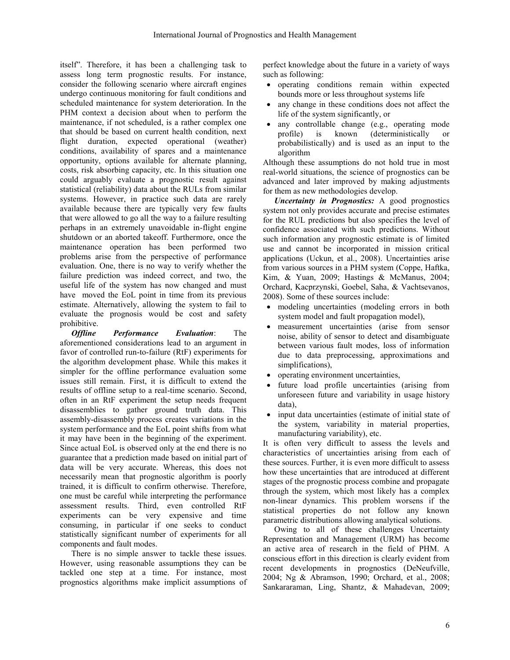itself". Therefore, it has been a challenging task to assess long term prognostic results. For instance, consider the following scenario where aircraft engines undergo continuous monitoring for fault conditions and scheduled maintenance for system deterioration. In the PHM context a decision about when to perform the maintenance, if not scheduled, is a rather complex one that should be based on current health condition, next flight duration, expected operational (weather) conditions, availability of spares and a maintenance opportunity, options available for alternate planning, costs, risk absorbing capacity, etc. In this situation one could arguably evaluate a prognostic result against statistical (reliability) data about the RULs from similar systems. However, in practice such data are rarely available because there are typically very few faults that were allowed to go all the way to a failure resulting perhaps in an extremely unavoidable in-flight engine shutdown or an aborted takeoff. Furthermore, once the maintenance operation has been performed two problems arise from the perspective of performance evaluation. One, there is no way to verify whether the failure prediction was indeed correct, and two, the useful life of the system has now changed and must have moved the EoL point in time from its previous estimate. Alternatively, allowing the system to fail to evaluate the prognosis would be cost and safety prohibitive.

*Offline Performance Evaluation*: The aforementioned considerations lead to an argument in favor of controlled run-to-failure (RtF) experiments for the algorithm development phase. While this makes it simpler for the offline performance evaluation some issues still remain. First, it is difficult to extend the results of offline setup to a real-time scenario. Second, often in an RtF experiment the setup needs frequent disassemblies to gather ground truth data. This assembly-disassembly process creates variations in the system performance and the EoL point shifts from what it may have been in the beginning of the experiment. Since actual EoL is observed only at the end there is no guarantee that a prediction made based on initial part of data will be very accurate. Whereas, this does not necessarily mean that prognostic algorithm is poorly trained, it is difficult to confirm otherwise. Therefore, one must be careful while interpreting the performance assessment results. Third, even controlled RtF experiments can be very expensive and time consuming, in particular if one seeks to conduct statistically significant number of experiments for all components and fault modes.

There is no simple answer to tackle these issues. However, using reasonable assumptions they can be tackled one step at a time. For instance, most prognostics algorithms make implicit assumptions of perfect knowledge about the future in a variety of ways such as following:

- operating conditions remain within expected bounds more or less throughout systems life
- any change in these conditions does not affect the life of the system significantly, or
- any controllable change (e.g., operating mode profile) is known (deterministically or probabilistically) and is used as an input to the algorithm

Although these assumptions do not hold true in most real-world situations, the science of prognostics can be advanced and later improved by making adjustments for them as new methodologies develop.

*Uncertainty in Prognostics:* A good prognostics system not only provides accurate and precise estimates for the RUL predictions but also specifies the level of confidence associated with such predictions. Without such information any prognostic estimate is of limited use and cannot be incorporated in mission critical applications (Uckun, et al., 2008). Uncertainties arise from various sources in a PHM system (Coppe, Haftka, Kim, & Yuan, 2009; Hastings & McManus, 2004; Orchard, Kacprzynski, Goebel, Saha, & Vachtsevanos, 2008). Some of these sources include:

- modeling uncertainties (modeling errors in both system model and fault propagation model),
- measurement uncertainties (arise from sensor noise, ability of sensor to detect and disambiguate between various fault modes, loss of information due to data preprocessing, approximations and simplifications),
- operating environment uncertainties,
- future load profile uncertainties (arising from unforeseen future and variability in usage history data),
- input data uncertainties (estimate of initial state of the system, variability in material properties, manufacturing variability), etc.

It is often very difficult to assess the levels and characteristics of uncertainties arising from each of these sources. Further, it is even more difficult to assess how these uncertainties that are introduced at different stages of the prognostic process combine and propagate through the system, which most likely has a complex non-linear dynamics. This problem worsens if the statistical properties do not follow any known parametric distributions allowing analytical solutions.

Owing to all of these challenges Uncertainty Representation and Management (URM) has become an active area of research in the field of PHM. A conscious effort in this direction is clearly evident from recent developments in prognostics (DeNeufville, 2004; Ng & Abramson, 1990; Orchard, et al., 2008; Sankararaman, Ling, Shantz, & Mahadevan, 2009;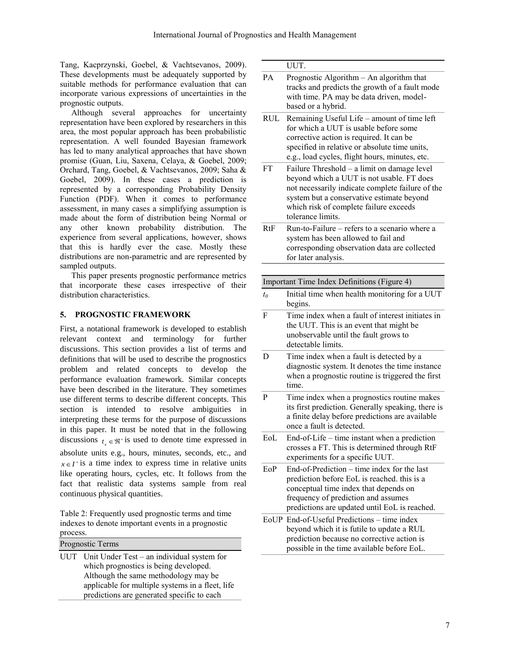Tang, Kacprzynski, Goebel, & Vachtsevanos, 2009). These developments must be adequately supported by suitable methods for performance evaluation that can incorporate various expressions of uncertainties in the prognostic outputs.

Although several approaches for uncertainty representation have been explored by researchers in this area, the most popular approach has been probabilistic representation. A well founded Bayesian framework has led to many analytical approaches that have shown promise (Guan, Liu, Saxena, Celaya, & Goebel, 2009; Orchard, Tang, Goebel, & Vachtsevanos, 2009; Saha & Goebel, 2009). In these cases a prediction is represented by a corresponding Probability Density Function (PDF). When it comes to performance assessment, in many cases a simplifying assumption is made about the form of distribution being Normal or any other known probability distribution. The experience from several applications, however, shows that this is hardly ever the case. Mostly these distributions are non-parametric and are represented by sampled outputs.

This paper presents prognostic performance metrics that incorporate these cases irrespective of their distribution characteristics.

# **5. PROGNOSTIC FRAMEWORK**

First, a notational framework is developed to establish relevant context and terminology for further discussions. This section provides a list of terms and definitions that will be used to describe the prognostics problem and related concepts to develop the performance evaluation framework. Similar concepts have been described in the literature. They sometimes use different terms to describe different concepts. This section is intended to resolve ambiguities in interpreting these terms for the purpose of discussions in this paper. It must be noted that in the following discussions  $t_x \in \mathbb{R}^+$  is used to denote time expressed in absolute units e.g., hours, minutes, seconds, etc., and  $x \in I^+$  is a time index to express time in relative units like operating hours, cycles, etc. It follows from the fact that realistic data systems sample from real continuous physical quantities.

Table 2: Frequently used prognostic terms and time indexes to denote important events in a prognostic process.

| Prognostic Terms |                                                                                                                                                                                     |  |  |  |  |
|------------------|-------------------------------------------------------------------------------------------------------------------------------------------------------------------------------------|--|--|--|--|
|                  | UUT Unit Under Test – an individual system for<br>which prognostics is being developed.<br>Although the same methodology may be<br>applicable for multiple systems in a fleet, life |  |  |  |  |
|                  | predictions are generated specific to each                                                                                                                                          |  |  |  |  |

|            | UUT.                                                                                                                                                                                                                                                     |  |  |  |  |
|------------|----------------------------------------------------------------------------------------------------------------------------------------------------------------------------------------------------------------------------------------------------------|--|--|--|--|
| PA         | Prognostic Algorithm - An algorithm that<br>tracks and predicts the growth of a fault mode<br>with time. PA may be data driven, model-<br>based or a hybrid.                                                                                             |  |  |  |  |
| <b>RUL</b> | Remaining Useful Life - amount of time left<br>for which a UUT is usable before some<br>corrective action is required. It can be<br>specified in relative or absolute time units,<br>e.g., load cycles, flight hours, minutes, etc.                      |  |  |  |  |
| <b>FT</b>  | Failure Threshold – a limit on damage level<br>beyond which a UUT is not usable. FT does<br>not necessarily indicate complete failure of the<br>system but a conservative estimate beyond<br>which risk of complete failure exceeds<br>tolerance limits. |  |  |  |  |
| <b>RtF</b> | Run-to-Failure – refers to a scenario where a<br>system has been allowed to fail and<br>corresponding observation data are collected<br>for later analysis.                                                                                              |  |  |  |  |
|            |                                                                                                                                                                                                                                                          |  |  |  |  |
|            | Important Time Index Definitions (Figure 4)                                                                                                                                                                                                              |  |  |  |  |
| $t_0$      | Initial time when health monitoring for a UUT<br>begins.                                                                                                                                                                                                 |  |  |  |  |
| F          | Time index when a fault of interest initiates in<br>the UUT. This is an event that might be<br>unobservable until the fault grows to<br>detectable limits.                                                                                               |  |  |  |  |
| D          | Time index when a fault is detected by a<br>diagnostic system. It denotes the time instance<br>when a prognostic routine is triggered the first<br>time.                                                                                                 |  |  |  |  |
| P          | Time index when a prognostics routine makes<br>its first prediction. Generally speaking, there is<br>a finite delay before predictions are available<br>once a fault is detected.                                                                        |  |  |  |  |
| EOL        | End-of-Life – time instant when a prediction<br>crosses a FT. This is determined through RtF<br>experiments for a specific UUT.                                                                                                                          |  |  |  |  |
| EoP        | End-of-Prediction – time index for the last<br>prediction before EoL is reached. this is a<br>conceptual time index that depends on<br>frequency of prediction and assumes<br>predictions are updated until EoL is reached.                              |  |  |  |  |
|            | EoUP End-of-Useful Predictions - time index<br>beyond which it is futile to update a RUL<br>prediction because no corrective action is<br>possible in the time available before EoL.                                                                     |  |  |  |  |
|            |                                                                                                                                                                                                                                                          |  |  |  |  |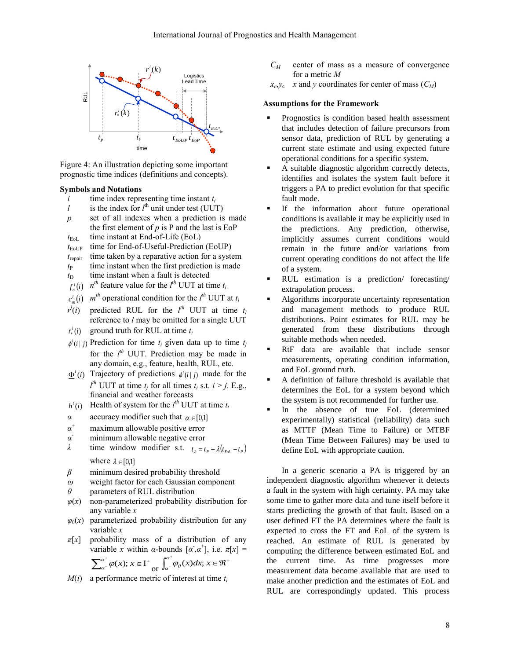

<span id="page-7-0"></span>Figure 4: An illustration depicting some important prognostic time indices (definitions and concepts).

## **Symbols and Notations**

- *i* time index representing time instant  $t_i$ <br>*l* is the index for  $l^{\text{th}}$  unit under test (UUT)
- *l* is the index for  $l^{\text{th}}$  unit under test (UUT)
- *p* set of all indexes when a prediction is made the first element of  $p$  is  $P$  and the last is EoP  $t_{\text{EoL}}$  time instant at End-of-Life (EoL)
- $t_{\text{EoUP}}$  time for End-of-Useful-Prediction (EoUP)
- *t*repair time taken by a reparative action for a system
- $t_{\rm P}$  time instant when the first prediction is made
- $t<sub>D</sub>$  time instant when a fault is detected
- $f_n^l(i)$  *n*<sup>th</sup> feature value for the  $l^{\text{th}}$  UUT at time  $t_i$
- $c_m^l(i)$  *m*<sup>th</sup> operational condition for the  $l^{th}$  UUT at  $t_i$
- *r l* (*i*) predicted RUL for the  $l^{th}$  UUT at time  $t_i$ reference to *l* may be omitted for a single UUT
- $r_*^l(i)$ ground truth for RUL at time *t<sup>i</sup>*
- $\phi^{i}(i | j)$  Prediction for time  $t_i$  given data up to time  $t_j$ for the  $l^{th}$  UUT. Prediction may be made in any domain, e.g., feature, health, RUL, etc.
- $\Phi^i(i)$  Trajectory of predictions  $\phi^i(i|j)$  made for the  $l^{th}$  UUT at time  $t_j$  for all times  $t_i$  s.t.  $i > j$ . E.g., financial and weather forecasts
- $h^l(i)$ Health of system for the  $l^{th}$  UUT at time  $t_i$
- *α* accuracy modifier such that  $\alpha \in [0,1]$
- *α* maximum allowable positive error
- *α* minimum allowable negative error
- *λ* time window modifier s.t.  $t_{\lambda} = t_{P} + \lambda(t_{Eol} t_{P})$ where  $\lambda \in [0,1]$
- *β* minimum desired probability threshold
- *ω* weight factor for each Gaussian component
- *θ* parameters of RUL distribution
- $\varphi(x)$  non-parameterized probability distribution for any variable *x*
- $\varphi_{\theta}(x)$  parameterized probability distribution for any variable *x*
- $\pi[x]$  probability mass of a distribution of any variable *x* within *α*-bounds  $\lceil \alpha, \alpha^+ \rceil$ , i.e.  $\pi[x] =$  $^{+}$

$$
\sum_{a^-}^{a^+} \varphi(x); x \in I^+ \underset{\text{or} \ \int_{a^-}^{a^+} \varphi_{\theta}(x) dx; x \in \mathfrak{R}^+
$$

 $M(i)$  a performance metric of interest at time  $t_i$ 

- $C_M$  center of mass as a measure of convergence for a metric *M*
- $x_c, y_c$  *x* and *y* coordinates for center of mass  $(C_M)$

#### **Assumptions for the Framework**

- Prognostics is condition based health assessment that includes detection of failure precursors from sensor data, prediction of RUL by generating a current state estimate and using expected future operational conditions for a specific system.
- A suitable diagnostic algorithm correctly detects, identifies and isolates the system fault before it triggers a PA to predict evolution for that specific fault mode.
- If the information about future operational conditions is available it may be explicitly used in the predictions. Any prediction, otherwise, implicitly assumes current conditions would remain in the future and/or variations from current operating conditions do not affect the life of a system.
- RUL estimation is a prediction/ forecasting/ extrapolation process.
- Algorithms incorporate uncertainty representation and management methods to produce RUL distributions. Point estimates for RUL may be generated from these distributions through suitable methods when needed.
- RtF data are available that include sensor measurements, operating condition information, and EoL ground truth.
- A definition of failure threshold is available that determines the EoL for a system beyond which the system is not recommended for further use.
- In the absence of true EoL (determined experimentally) statistical (reliability) data such as MTTF (Mean Time to Failure) or MTBF (Mean Time Between Failures) may be used to define EoL with appropriate caution.

In a generic scenario a PA is triggered by an independent diagnostic algorithm whenever it detects a fault in the system with high certainty. PA may take some time to gather more data and tune itself before it starts predicting the growth of that fault. Based on a user defined FT the PA determines where the fault is expected to cross the FT and EoL of the system is reached. An estimate of RUL is generated by computing the difference between estimated EoL and the current time. As time progresses more measurement data become available that are used to make another prediction and the estimates of EoL and RUL are correspondingly updated. This process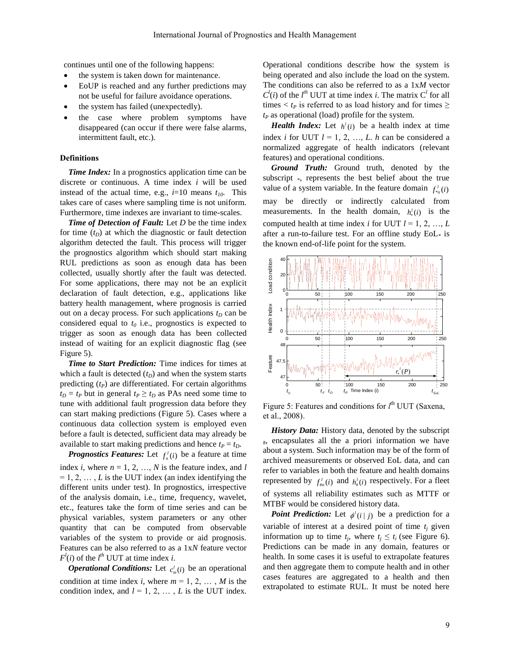continues until one of the following happens:

- the system is taken down for maintenance.
- EoUP is reached and any further predictions may not be useful for failure avoidance operations.
- the system has failed (unexpectedly).
- the case where problem symptoms have disappeared (can occur if there were false alarms, intermittent fault, etc.).

#### **Definitions**

*Time Index:* In a prognostics application time can be discrete or continuous. A time index *i* will be used instead of the actual time, e.g.,  $i=10$  means  $t_{10}$ . This takes care of cases where sampling time is not uniform. Furthermore, time indexes are invariant to time-scales.

*Time of Detection of Fault:* Let *D* be the time index for time  $(t_D)$  at which the diagnostic or fault detection algorithm detected the fault. This process will trigger the prognostics algorithm which should start making RUL predictions as soon as enough data has been collected, usually shortly after the fault was detected. For some applications, there may not be an explicit declaration of fault detection, e.g., applications like battery health management, where prognosis is carried out on a decay process. For such applications  $t<sub>D</sub>$  can be considered equal to  $t_0$  i.e., prognostics is expected to trigger as soon as enough data has been collected instead of waiting for an explicit diagnostic flag (see [Figure 5\)](#page-8-0).

*Time to Start Prediction:* Time indices for times at which a fault is detected  $(t<sub>D</sub>)$  and when the system starts predicting  $(t<sub>P</sub>)$  are differentiated. For certain algorithms  $t_D = t_P$  but in general  $t_P \geq t_D$  as PAs need some time to tune with additional fault progression data before they can start making predictions [\(Figure 5\)](#page-8-0). Cases where a continuous data collection system is employed even before a fault is detected, sufficient data may already be available to start making predictions and hence  $t_P = t_D$ .

*Prognostics Features:* Let  $f_n^l(i)$  be a feature at time index *i*, where  $n = 1, 2, ..., N$  is the feature index, and *l*  $= 1, 2, \ldots, L$  is the UUT index (an index identifying the different units under test). In prognostics, irrespective of the analysis domain, i.e., time, frequency, wavelet, etc., features take the form of time series and can be physical variables, system parameters or any other quantity that can be computed from observable variables of the system to provide or aid prognosis. Features can be also referred to as a 1x*N* feature vector  $F^l(i)$  of the  $l^{th}$  UUT at time index *i*.

*Operational Conditions:* Let  $c_m^l(i)$  be an operational condition at time index *i*, where  $m = 1, 2, \dots, M$  is the condition index, and  $l = 1, 2, \ldots, L$  is the UUT index.

Operational conditions describe how the system is being operated and also include the load on the system. The conditions can also be referred to as a 1x*M* vector  $C^l(i)$  of the *l*<sup>th</sup> UUT at time index *i*. The matrix  $C^l$  for all times  $\lt t_P$  is referred to as load history and for times  $\geq$ *t<sup>P</sup>* as operational (load) profile for the system.

*Health Index:* Let  $h'(i)$  be a health index at time index *i* for UUT  $l = 1, 2, ..., L$ . *h* can be considered a normalized aggregate of health indicators (relevant features) and operational conditions.

*Ground Truth:* Ground truth, denoted by the subscript \*, represents the best belief about the true value of a system variable. In the feature domain  $f_{*n}^{l}(i)$ may be directly or indirectly calculated from measurements. In the health domain,  $h'_{*}(i)$  is the computed health at time index *i* for UUT  $l = 1, 2, ..., L$ after a run-to-failure test. For an offline study  $EoL*$  is the known end-of-life point for the system.



<span id="page-8-0"></span>Figure 5: Features and conditions for  $l^{\text{th}}$  UUT (Saxena, et al., 2008).

*History Data:* History data, denoted by the subscript  $#$ , encapsulates all the a priori information we have about a system. Such information may be of the form of archived measurements or observed EoL data, and can refer to variables in both the feature and health domains represented by  $f_{\text{m}}^l(i)$  and  $h_{\text{m}}^l(i)$  respectively. For a fleet of systems all reliability estimates such as MTTF or MTBF would be considered history data.

*Point Prediction:* Let  $\phi^{(i)}(i|j)$  be a prediction for a variable of interest at a desired point of time  $t_j$  given information up to time  $t_j$ , where  $t_j \leq t_i$  (see [Figure 6\)](#page-9-0). Predictions can be made in any domain, features or health. In some cases it is useful to extrapolate features and then aggregate them to compute health and in other cases features are aggregated to a health and then extrapolated to estimate RUL. It must be noted here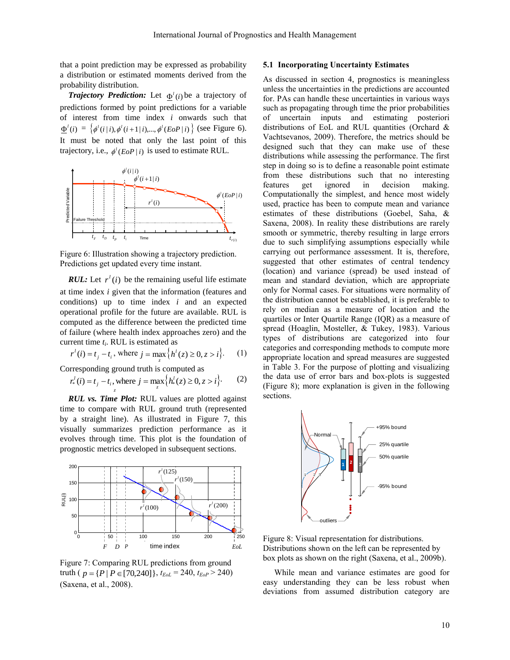that a point prediction may be expressed as probability a distribution or estimated moments derived from the probability distribution.

**Trajectory Prediction:** Let  $\Phi^l(i)$  be a trajectory of predictions formed by point predictions for a variable of interest from time index *i* onwards such that  $\underline{\Phi}^{i}(i) = \{\phi^{i}(i|i), \phi^{i}(i+1|i), ..., \phi^{i}(EoP|i)\}$  (see [Figure 6\)](#page-9-0). It must be noted that only the last point of this trajectory, i.e.,  $\phi^{l}$  (*EoP* | *i*) is used to estimate RUL.



<span id="page-9-0"></span>Figure 6: Illustration showing a trajectory prediction. Predictions get updated every time instant.

*RUL:* Let  $r^l(i)$  be the remaining useful life estimate at time index *i* given that the information (features and conditions) up to time index *i* and an expected operational profile for the future are available. RUL is computed as the difference between the predicted time of failure (where health index approaches zero) and the current time *t<sup>i</sup>* . RUL is estimated as

$$
r^{l}(i) = t_{j} - t_{i}
$$
, where  $j = \max_{z} \{h^{l}(z) \ge 0, z > i\}$ . (1)

Corresponding ground truth is computed as

$$
r_*^l(i) = t_j - t_i, \text{ where } j = \max_z \Big\{ h_*^l(z) \ge 0, z > i \Big\}. \tag{2}
$$

*RUL vs. Time Plot:* RUL values are plotted against time to compare with RUL ground truth (represented by a straight line). As illustrated in [Figure 7,](#page-9-1) this visually summarizes prediction performance as it evolves through time. This plot is the foundation of prognostic metrics developed in subsequent sections.



<span id="page-9-1"></span>Figure 7: Comparing RUL predictions from ground truth ( $p = {P | P \in [70,240]}, t_{EoL} = 240, t_{EoP} > 240)$ (Saxena, et al., 2008).

# <span id="page-9-3"></span>**5.1 Incorporating Uncertainty Estimates**

As discussed in section [4,](#page-4-1) prognostics is meaningless unless the uncertainties in the predictions are accounted for. PAs can handle these uncertainties in various ways such as propagating through time the prior probabilities of uncertain inputs and estimating posteriori distributions of EoL and RUL quantities (Orchard & Vachtsevanos, 2009). Therefore, the metrics should be designed such that they can make use of these distributions while assessing the performance. The first step in doing so is to define a reasonable point estimate from these distributions such that no interesting features get ignored in decision making. Computationally the simplest, and hence most widely used, practice has been to compute mean and variance estimates of these distributions (Goebel, Saha, & Saxena, 2008). In reality these distributions are rarely smooth or symmetric, thereby resulting in large errors due to such simplifying assumptions especially while carrying out performance assessment. It is, therefore, suggested that other estimates of central tendency (location) and variance (spread) be used instead of mean and standard deviation, which are appropriate only for Normal cases. For situations were normality of the distribution cannot be established, it is preferable to rely on median as a measure of location and the quartiles or Inter Quartile Range (IQR) as a measure of spread (Hoaglin, Mosteller, & Tukey, 1983). Various types of distributions are categorized into four categories and corresponding methods to compute more appropriate location and spread measures are suggested in [Table 3.](#page-11-0) For the purpose of plotting and visualizing the data use of error bars and box-plots is suggested [\(Figure 8\)](#page-9-2); more explanation is given in the following sections.



<span id="page-9-2"></span>Figure 8: Visual representation for distributions. Distributions shown on the left can be represented by box plots as shown on the right (Saxena, et al., 2009b).

While mean and variance estimates are good for easy understanding they can be less robust when deviations from assumed distribution category are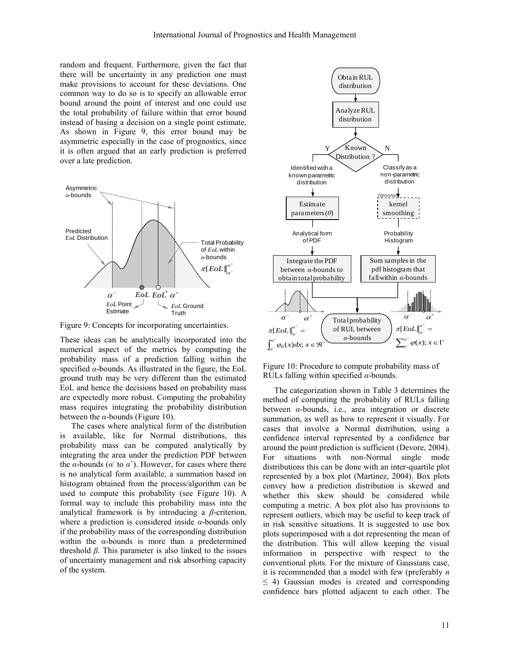random and frequent. Furthermore, given the fact that there will be uncertainty in any prediction one must make provisions to account for these deviations. One common way to do so is to specify an allowable error bound around the point of interest and one could use the total probability of failure within that error bound instead of basing a decision on a single point estimate. As shown in [Figure 9,](#page-10-0) this error bound may be asymmetric especially in the case of prognostics, since it is often argued that an early prediction is preferred over a late prediction.



<span id="page-10-0"></span>Figure 9: Concepts for incorporating uncertainties.

These ideas can be analytically incorporated into the numerical aspect of the metrics by computing the probability mass of a prediction falling within the specified  $\alpha$ -bounds. As illustrated in the figure, the EoL ground truth may be very different than the estimated EoL and hence the decisions based on probability mass are expectedly more robust. Computing the probability mass requires integrating the probability distribution between the  $\alpha$ -bounds [\(Figure 10\)](#page-10-1).

The cases where analytical form of the distribution is available, like for Normal distributions, this probability mass can be computed analytically by integrating the area under the prediction PDF between the  $\alpha$ -bounds ( $\alpha^{\dagger}$  to  $\alpha^{\dagger}$ ). However, for cases where there is no analytical form available, a summation based on histogram obtained from the process/algorithm can be used to compute this probability (see [Figure 10\)](#page-10-1). A formal way to include this probability mass into the analytical framework is by introducing a *β*-criterion, where a prediction is considered inside *α*-bounds only if the probability mass of the corresponding distribution within the *α*-bounds is more than a predetermined threshold *β*. This parameter is also linked to the issues of uncertainty management and risk absorbing capacity of the system.



<span id="page-10-1"></span>Figure 10: Procedure to compute probability mass of RULs falling within specified *α*-bounds.

The categorization shown in [Table 3](#page-11-0) determines the method of computing the probability of RULs falling between *α*-bounds, i.e., area integration or discrete summation, as well as how to represent it visually. For cases that involve a Normal distribution, using a confidence interval represented by a confidence bar around the point prediction is sufficient (Devore, 2004). For situations with non-Normal single mode distributions this can be done with an inter-quartile plot represented by a box plot (Martinez, 2004). Box plots convey how a prediction distribution is skewed and whether this skew should be considered while computing a metric. A box plot also has provisions to represent outliers, which may be useful to keep track of in risk sensitive situations. It is suggested to use box plots superimposed with a dot representing the mean of the distribution. This will allow keeping the visual information in perspective with respect to the conventional plots. For the mixture of Gaussians case, it is recommended that a model with few (preferably *n*  $\leq$  4) Gaussian modes is created and corresponding confidence bars plotted adjacent to each other. The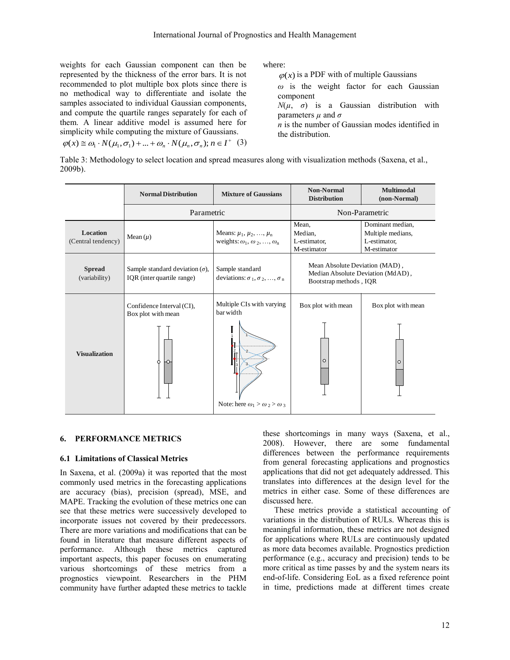weights for each Gaussian component can then be represented by the thickness of the error bars. It is not recommended to plot multiple box plots since there is no methodical way to differentiate and isolate the samples associated to individual Gaussian components, and compute the quartile ranges separately for each of them. A linear additive model is assumed here for simplicity while computing the mixture of Gaussians.

where:

 $\varphi(x)$  is a PDF with of multiple Gaussians

*ω* is the weight factor for each Gaussian component

 $N(\mu, \sigma)$  is a Gaussian distribution with parameters *µ* and *σ*

*n* is the number of Gaussian modes identified in the distribution.

$$
\varphi(x) \cong \omega_1 \cdot N(\mu_1, \sigma_1) + \dots + \omega_n \cdot N(\mu_n, \sigma_n); n \in I^+ \quad (3)
$$

<span id="page-11-0"></span>Table 3: Methodology to select location and spread measures along with visualization methods (Saxena, et al., 2009b).

|                                | <b>Normal Distribution</b>                                           | <b>Mixture of Gaussians</b>                                                           | <b>Non-Normal</b><br><b>Distribution</b>                                                      | <b>Multimodal</b><br>(non-Normal)                                    |
|--------------------------------|----------------------------------------------------------------------|---------------------------------------------------------------------------------------|-----------------------------------------------------------------------------------------------|----------------------------------------------------------------------|
|                                | Parametric                                                           |                                                                                       | Non-Parametric                                                                                |                                                                      |
| Location<br>(Central tendency) | Mean $(\mu)$                                                         | Means: $\mu_1, \mu_2, , \mu_n$<br>weights: $\omega_1$ , $\omega_2$ , , $\omega_n$     | Mean,<br>Median.<br>L-estimator,<br>M-estimator                                               | Dominant median.<br>Multiple medians,<br>L-estimator,<br>M-estimator |
| <b>Spread</b><br>(variability) | Sample standard deviation $(\sigma)$ ,<br>IQR (inter quartile range) | Sample standard<br>deviations: $\sigma_1, \sigma_2, , \sigma_n$                       | Mean Absolute Deviation (MAD),<br>Median Absolute Deviation (MdAD),<br>Bootstrap methods, IQR |                                                                      |
| <b>Visualization</b>           | Confidence Interval (CI),<br>Box plot with mean<br>ю<br>Ô            | Multiple CIs with varying<br>bar width<br>Note: here $\omega_1 > \omega_2 > \omega_3$ | Box plot with mean<br>$\Omega$                                                                | Box plot with mean<br>$\circ$                                        |

#### **6. PERFORMANCE METRICS**

## **6.1 Limitations of Classical Metrics**

In Saxena, et al. (2009a) it was reported that the most commonly used metrics in the forecasting applications are accuracy (bias), precision (spread), MSE, and MAPE. Tracking the evolution of these metrics one can see that these metrics were successively developed to incorporate issues not covered by their predecessors. There are more variations and modifications that can be found in literature that measure different aspects of performance. Although these metrics captured important aspects, this paper focuses on enumerating various shortcomings of these metrics from a prognostics viewpoint. Researchers in the PHM community have further adapted these metrics to tackle

these shortcomings in many ways (Saxena, et al., 2008). However, there are some fundamental differences between the performance requirements from general forecasting applications and prognostics applications that did not get adequately addressed. This translates into differences at the design level for the metrics in either case. Some of these differences are discussed here.

These metrics provide a statistical accounting of variations in the distribution of RULs. Whereas this is meaningful information, these metrics are not designed for applications where RULs are continuously updated as more data becomes available. Prognostics prediction performance (e.g., accuracy and precision) tends to be more critical as time passes by and the system nears its end-of-life. Considering EoL as a fixed reference point in time, predictions made at different times create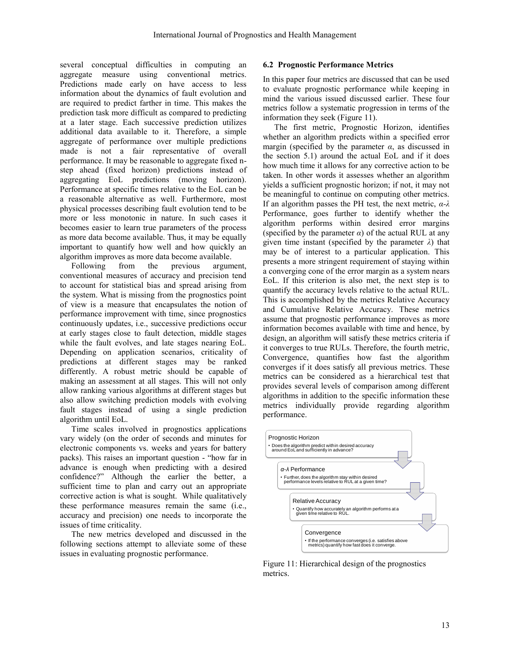several conceptual difficulties in computing an aggregate measure using conventional metrics. Predictions made early on have access to less information about the dynamics of fault evolution and are required to predict farther in time. This makes the prediction task more difficult as compared to predicting at a later stage. Each successive prediction utilizes additional data available to it. Therefore, a simple aggregate of performance over multiple predictions made is not a fair representative of overall performance. It may be reasonable to aggregate fixed nstep ahead (fixed horizon) predictions instead of aggregating EoL predictions (moving horizon). Performance at specific times relative to the EoL can be a reasonable alternative as well. Furthermore, most physical processes describing fault evolution tend to be more or less monotonic in nature. In such cases it becomes easier to learn true parameters of the process as more data become available. Thus, it may be equally important to quantify how well and how quickly an algorithm improves as more data become available.

Following from the previous argument, conventional measures of accuracy and precision tend to account for statistical bias and spread arising from the system. What is missing from the prognostics point of view is a measure that encapsulates the notion of performance improvement with time, since prognostics continuously updates, i.e., successive predictions occur at early stages close to fault detection, middle stages while the fault evolves, and late stages nearing EoL. Depending on application scenarios, criticality of predictions at different stages may be ranked differently. A robust metric should be capable of making an assessment at all stages. This will not only allow ranking various algorithms at different stages but also allow switching prediction models with evolving fault stages instead of using a single prediction algorithm until EoL.

Time scales involved in prognostics applications vary widely (on the order of seconds and minutes for electronic components vs. weeks and years for battery packs). This raises an important question - "how far in advance is enough when predicting with a desired confidence?" Although the earlier the better, a sufficient time to plan and carry out an appropriate corrective action is what is sought. While qualitatively these performance measures remain the same (i.e., accuracy and precision) one needs to incorporate the issues of time criticality.

The new metrics developed and discussed in the following sections attempt to alleviate some of these issues in evaluating prognostic performance.

# **6.2 Prognostic Performance Metrics**

In this paper four metrics are discussed that can be used to evaluate prognostic performance while keeping in mind the various issued discussed earlier. These four metrics follow a systematic progression in terms of the information they seek [\(Figure 11\)](#page-12-0).

The first metric, Prognostic Horizon, identifies whether an algorithm predicts within a specified error margin (specified by the parameter  $\alpha$ , as discussed in the section [5.1\)](#page-9-3) around the actual EoL and if it does how much time it allows for any corrective action to be taken. In other words it assesses whether an algorithm yields a sufficient prognostic horizon; if not, it may not be meaningful to continue on computing other metrics. If an algorithm passes the PH test, the next metric, *α-λ* Performance, goes further to identify whether the algorithm performs within desired error margins (specified by the parameter  $\alpha$ ) of the actual RUL at any given time instant (specified by the parameter  $\lambda$ ) that may be of interest to a particular application. This presents a more stringent requirement of staying within a converging cone of the error margin as a system nears EoL. If this criterion is also met, the next step is to quantify the accuracy levels relative to the actual RUL. This is accomplished by the metrics Relative Accuracy and Cumulative Relative Accuracy. These metrics assume that prognostic performance improves as more information becomes available with time and hence, by design, an algorithm will satisfy these metrics criteria if it converges to true RULs. Therefore, the fourth metric, Convergence, quantifies how fast the algorithm converges if it does satisfy all previous metrics. These metrics can be considered as a hierarchical test that provides several levels of comparison among different algorithms in addition to the specific information these metrics individually provide regarding algorithm performance.



<span id="page-12-0"></span>Figure 11: Hierarchical design of the prognostics metrics.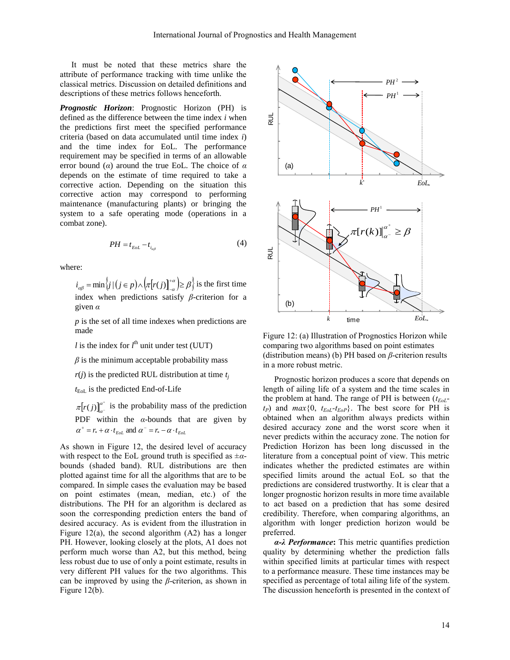It must be noted that these metrics share the attribute of performance tracking with time unlike the classical metrics. Discussion on detailed definitions and descriptions of these metrics follows henceforth.

*Prognostic Horizon*: Prognostic Horizon (PH) is defined as the difference between the time index *i* when the predictions first meet the specified performance criteria (based on data accumulated until time index *i*) and the time index for EoL. The performance requirement may be specified in terms of an allowable error bound (*α*) around the true EoL. The choice of *α* depends on the estimate of time required to take a corrective action. Depending on the situation this corrective action may correspond to performing maintenance (manufacturing plants) or bringing the system to a safe operating mode (operations in a combat zone).

$$
PH = t_{EOL} - t_{i_{\alpha\beta}} \tag{4}
$$

where:

 $\mathcal{L}_{\alpha\beta} = \min \left\{ j \mid (j \in p) \wedge \left( \pi[r(j)]_{-\alpha}^{+\alpha} \right) \geq \beta \right\}$  is  $i_{\alpha\beta} = \min \{j \mid (j \in p) \wedge [\pi[r(j)]^{\alpha} \geq \beta \}$  is the first time index when predictions satisfy *β*-criterion for a given *α*

*p* is the set of all time indexes when predictions are made

*l* is the index for  $l^{\text{th}}$  unit under test (UUT)

 $\beta$  is the minimum acceptable probability mass

 $r(j)$  is the predicted RUL distribution at time  $t_j$ 

*t*EoL is the predicted End-of-Life

 $[r(j)]^{\alpha^+}$  $\frac{\alpha}{\alpha^{-}}$  $\pi[r(j)]_{a^-}^{a^+}$  is the probability mass of the prediction PDF within the *α*-bounds that are given by  $\alpha^+ = r_* + \alpha \cdot t_{EoL}$  and  $\alpha^- = r_* - \alpha \cdot t_{EoL}$ 

As shown in [Figure 12,](#page-13-0) the desired level of accuracy with respect to the EoL ground truth is specified as ±*α*bounds (shaded band). RUL distributions are then plotted against time for all the algorithms that are to be compared. In simple cases the evaluation may be based on point estimates (mean, median, etc.) of the distributions. The PH for an algorithm is declared as soon the corresponding prediction enters the band of desired accuracy. As is evident from the illustration in [Figure 12\(](#page-13-0)a), the second algorithm  $(A2)$  has a longer PH. However, looking closely at the plots, A1 does not perform much worse than A2, but this method, being less robust due to use of only a point estimate, results in very different PH values for the two algorithms. This can be improved by using the *β*-criterion, as shown in [Figure 12\(](#page-13-0)b).



<span id="page-13-0"></span>Figure 12: (a) Illustration of Prognostics Horizon while comparing two algorithms based on point estimates (distribution means) (b) PH based on *β*-criterion results in a more robust metric.

Prognostic horizon produces a score that depends on length of ailing life of a system and the time scales in the problem at hand. The range of PH is between (*tEoL* $t_P$ ) and *max*{0,  $t_{EoL}$ - $t_{EoP}$ }. The best score for PH is obtained when an algorithm always predicts within desired accuracy zone and the worst score when it never predicts within the accuracy zone. The notion for Prediction Horizon has been long discussed in the literature from a conceptual point of view. This metric indicates whether the predicted estimates are within specified limits around the actual EoL so that the predictions are considered trustworthy. It is clear that a longer prognostic horizon results in more time available to act based on a prediction that has some desired credibility. Therefore, when comparing algorithms, an algorithm with longer prediction horizon would be preferred.

*α-λ Performance***:** This metric quantifies prediction quality by determining whether the prediction falls within specified limits at particular times with respect to a performance measure. These time instances may be specified as percentage of total ailing life of the system. The discussion henceforth is presented in the context of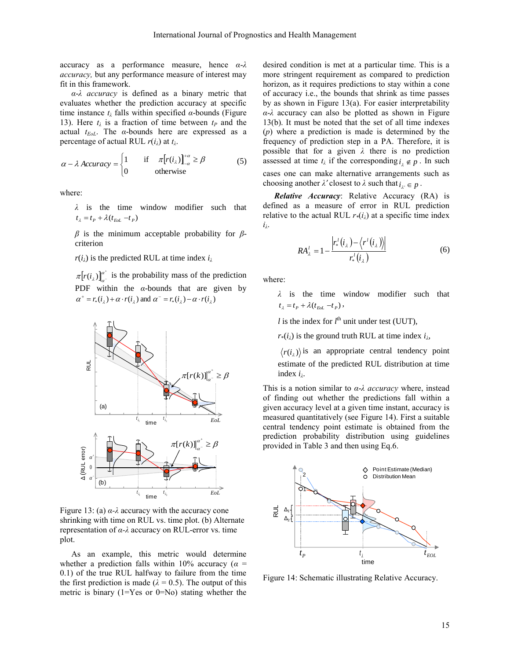accuracy as a performance measure, hence *α*-*λ accuracy,* but any performance measure of interest may fit in this framework.

*α*-*λ accuracy* is defined as a binary metric that evaluates whether the prediction accuracy at specific time instance  $t_{\lambda}$  falls within specified  $\alpha$ -bounds (Figure [13\)](#page-14-0). Here  $t_{\lambda}$  is a fraction of time between  $t_{P}$  and the actual *tEoL*. The *α*-bounds here are expressed as a percentage of actual RUL *r*(*iλ*) at *t<sup>λ</sup>* .

$$
\alpha - \lambda \text{ Accuracy} = \begin{cases} 1 & \text{if } \pi[r(i_{\lambda})]_{-\alpha}^{+\alpha} \ge \beta \\ 0 & \text{otherwise} \end{cases}
$$
 (5)

where:

*λ* is the time window modifier such that  $t_{\lambda} = t_{P} + \lambda (t_{Eol} - t_{P})$ 

*β* is the minimum acceptable probability for *β*criterion

 $r(i_{\lambda})$  is the predicted RUL at time index  $i_{\lambda}$ 

 $[r(i_{\lambda})]_{\lambda}^{\alpha^+}$  $\pi[r(i_\lambda)]_{a^{-}}^{a^{+}}$  is the probability mass of the prediction PDF within the *α*-bounds that are given by  $\alpha^+ = r_*(i_\lambda) + \alpha \cdot r(i_\lambda)$  and  $\alpha^- = r_*(i_\lambda) - \alpha \cdot r(i_\lambda)$ 



<span id="page-14-0"></span>Figure 13: (a)  $\alpha$ - $\lambda$  accuracy with the accuracy cone shrinking with time on RUL vs. time plot. (b) Alternate representation of *α-λ* accuracy on RUL-error vs. time plot.

As an example, this metric would determine whether a prediction falls within 10% accuracy ( $\alpha$  = 0.1) of the true RUL halfway to failure from the time the first prediction is made ( $\lambda = 0.5$ ). The output of this metric is binary  $(1=Y$ es or  $0=N_0$ ) stating whether the desired condition is met at a particular time. This is a more stringent requirement as compared to prediction horizon, as it requires predictions to stay within a cone of accuracy i.e., the bounds that shrink as time passes by as shown in [Figure 13\(](#page-14-0)a). For easier interpretability *α*-*λ* accuracy can also be plotted as shown in [Figure](#page-14-0)  [13\(](#page-14-0)b). It must be noted that the set of all time indexes (*p*) where a prediction is made is determined by the frequency of prediction step in a PA. Therefore, it is possible that for a given *λ* there is no prediction assessed at time  $t_{\lambda}$  if the corresponding  $i_{\lambda} \notin p$ . In such cases one can make alternative arrangements such as choosing another  $\lambda'$  closest to  $\lambda$  such that  $i_{\lambda'} \in p$ .

*Relative Accuracy*: Relative Accuracy (RA) is defined as a measure of error in RUL prediction relative to the actual RUL  $r*(i_\lambda)$  at a specific time index *iλ* .

$$
RA_{\lambda}^{l} = 1 - \frac{\left| r_{*}^{l}(i_{\lambda}) - \left\langle r^{l}(i_{\lambda}) \right\rangle \right|}{r_{*}^{l}(i_{\lambda})}
$$
(6)

where:

*λ* is the time window modifier such that  $t_{\lambda} = t_{P} + \lambda (t_{Eol} - t_{P}),$ 

*l* is the index for  $l^{\text{th}}$  unit under test (UUT),

 $r*(i_\lambda)$  is the ground truth RUL at time index  $i_\lambda$ ,

 $r(i<sub>\lambda</sub>)$  is an appropriate central tendency point estimate of the predicted RUL distribution at time index *i<sup>λ</sup>* .

This is a notion similar to *α*-*λ accuracy* where, instead of finding out whether the predictions fall within a given accuracy level at a given time instant, accuracy is measured quantitatively (see [Figure 14\)](#page-14-1). First a suitable central tendency point estimate is obtained from the prediction probability distribution using guidelines provided in [Table 3](#page-11-0) and then using Eq.6.



<span id="page-14-1"></span>Figure 14: Schematic illustrating Relative Accuracy.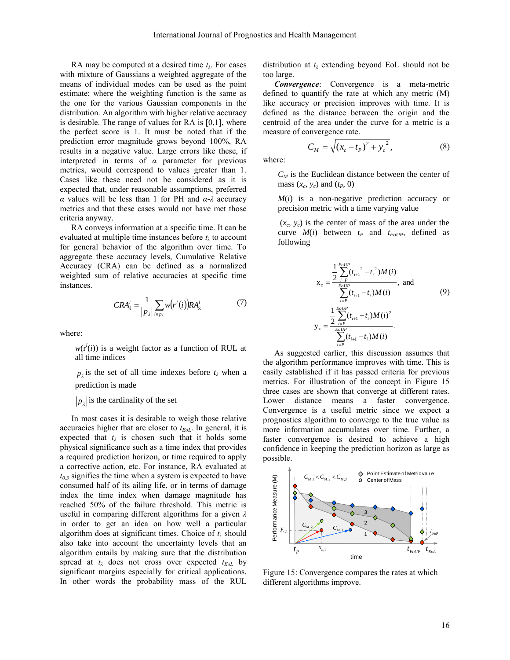RA may be computed at a desired time *t<sup>λ</sup>* . For cases with mixture of Gaussians a weighted aggregate of the means of individual modes can be used as the point estimate; where the weighting function is the same as the one for the various Gaussian components in the distribution. An algorithm with higher relative accuracy is desirable. The range of values for RA is [0,1], where the perfect score is 1. It must be noted that if the prediction error magnitude grows beyond 100%, RA results in a negative value. Large errors like these, if interpreted in terms of *α* parameter for previous metrics, would correspond to values greater than 1. Cases like these need not be considered as it is expected that, under reasonable assumptions, preferred *α* values will be less than 1 for PH and *α*-*λ* accuracy metrics and that these cases would not have met those criteria anyway.

RA conveys information at a specific time. It can be evaluated at multiple time instances before *t<sup>λ</sup>* to account for general behavior of the algorithm over time. To aggregate these accuracy levels, Cumulative Relative Accuracy (CRA) can be defined as a normalized weighted sum of relative accuracies at specific time instances.

$$
CRA_{\lambda}^{l} = \frac{1}{|p_{\lambda}|} \sum_{i \in p_{\lambda}} w(r^{l}(i)) RA_{\lambda}^{l}
$$
 (7)

where:

 $w(r<sup>l</sup>(i))$  is a weight factor as a function of RUL at all time indices

 $p_{\lambda}$  is the set of all time indexes before  $t_{\lambda}$  when a prediction is made

 $p_{\lambda}$  is the cardinality of the set

In most cases it is desirable to weigh those relative accuracies higher that are closer to *tEoL*. In general, it is expected that  $t_{\lambda}$  is chosen such that it holds some physical significance such as a time index that provides a required prediction horizon, or time required to apply a corrective action, etc. For instance, RA evaluated at  $t_{0.5}$  signifies the time when a system is expected to have consumed half of its ailing life, or in terms of damage index the time index when damage magnitude has reached 50% of the failure threshold. This metric is useful in comparing different algorithms for a given *λ* in order to get an idea on how well a particular algorithm does at significant times. Choice of *t<sup>λ</sup>* should also take into account the uncertainty levels that an algorithm entails by making sure that the distribution spread at  $t_{\lambda}$  does not cross over expected  $t_{EoL}$  by significant margins especially for critical applications. In other words the probability mass of the RUL

distribution at *t<sup>λ</sup>* extending beyond EoL should not be too large.

*Convergence*: Convergence is a meta-metric defined to quantify the rate at which any metric (M) like accuracy or precision improves with time. It is defined as the distance between the origin and the centroid of the area under the curve for a metric is a measure of convergence rate.

$$
C_M = \sqrt{(x_c - t_P)^2 + y_c^2},
$$
 (8)

where:

 $C_M$  is the Euclidean distance between the center of mass  $(x_c, y_c)$  and  $(t_p, 0)$ 

*M*(*i*) is a non-negative prediction accuracy or precision metric with a time varying value

 $(x_c, y_c)$  is the center of mass of the area under the curve  $M(i)$  between  $t_P$  and  $t_{EoUP}$ , defined as following

$$
x_c = \frac{\frac{1}{2} \sum_{i=P}^{EoUP} (t_{i+1}^2 - t_i^2) M(i)}{\sum_{i=P}^{EoUP} (t_{i+1} - t_i) M(i)}, \text{ and}
$$
  

$$
y_c = \frac{\frac{1}{2} \sum_{i=P}^{EoUP} (t_{i+1} - t_i) M(i)^2}{\sum_{i=P}^{EoUP} (t_{i+1} - t_i) M(i)}.
$$
 (9)

As suggested earlier, this discussion assumes that the algorithm performance improves with time. This is easily established if it has passed criteria for previous metrics. For illustration of the concept in [Figure 15](#page-15-0) three cases are shown that converge at different rates. Lower distance means a faster convergence. Convergence is a useful metric since we expect a prognostics algorithm to converge to the true value as more information accumulates over time. Further, a faster convergence is desired to achieve a high confidence in keeping the prediction horizon as large as possible.



<span id="page-15-0"></span>Figure 15: Convergence compares the rates at which different algorithms improve.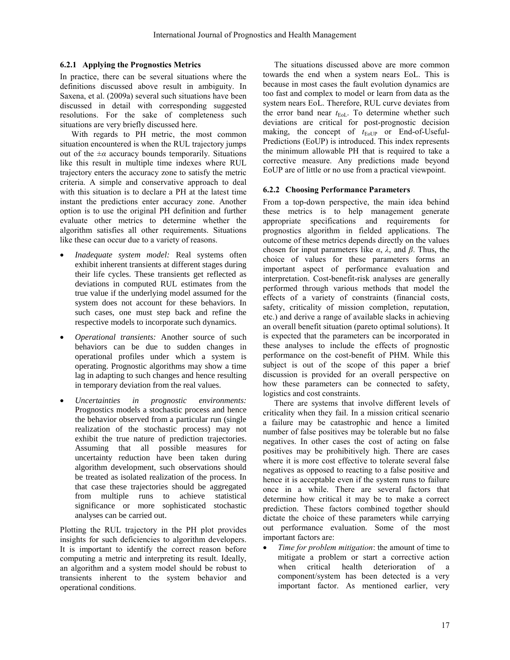# **6.2.1 Applying the Prognostics Metrics**

In practice, there can be several situations where the definitions discussed above result in ambiguity. In Saxena, et al. (2009a) several such situations have been discussed in detail with corresponding suggested resolutions. For the sake of completeness such situations are very briefly discussed here.

With regards to PH metric, the most common situation encountered is when the RUL trajectory jumps out of the  $\pm \alpha$  accuracy bounds temporarily. Situations like this result in multiple time indexes where RUL trajectory enters the accuracy zone to satisfy the metric criteria. A simple and conservative approach to deal with this situation is to declare a PH at the latest time instant the predictions enter accuracy zone. Another option is to use the original PH definition and further evaluate other metrics to determine whether the algorithm satisfies all other requirements. Situations like these can occur due to a variety of reasons.

- *Inadequate system model:* Real systems often exhibit inherent transients at different stages during their life cycles. These transients get reflected as deviations in computed RUL estimates from the true value if the underlying model assumed for the system does not account for these behaviors. In such cases, one must step back and refine the respective models to incorporate such dynamics.
- *Operational transients:* Another source of such behaviors can be due to sudden changes in operational profiles under which a system is operating. Prognostic algorithms may show a time lag in adapting to such changes and hence resulting in temporary deviation from the real values.
- *Uncertainties in prognostic environments:* Prognostics models a stochastic process and hence the behavior observed from a particular run (single realization of the stochastic process) may not exhibit the true nature of prediction trajectories. Assuming that all possible measures for uncertainty reduction have been taken during algorithm development, such observations should be treated as isolated realization of the process. In that case these trajectories should be aggregated from multiple runs to achieve statistical significance or more sophisticated stochastic analyses can be carried out.

Plotting the RUL trajectory in the PH plot provides insights for such deficiencies to algorithm developers. It is important to identify the correct reason before computing a metric and interpreting its result. Ideally, an algorithm and a system model should be robust to transients inherent to the system behavior and operational conditions.

The situations discussed above are more common towards the end when a system nears EoL. This is because in most cases the fault evolution dynamics are too fast and complex to model or learn from data as the system nears EoL. Therefore, RUL curve deviates from the error band near  $t_{\text{EoL}}$ . To determine whether such deviations are critical for post-prognostic decision making, the concept of  $t_{\text{EoUP}}$  or End-of-Useful-Predictions (EoUP) is introduced. This index represents the minimum allowable PH that is required to take a corrective measure. Any predictions made beyond EoUP are of little or no use from a practical viewpoint.

# **6.2.2 Choosing Performance Parameters**

From a top-down perspective, the main idea behind these metrics is to help management generate appropriate specifications and requirements for prognostics algorithm in fielded applications. The outcome of these metrics depends directly on the values chosen for input parameters like *α*, *λ*, and *β*. Thus, the choice of values for these parameters forms an important aspect of performance evaluation and interpretation. Cost-benefit-risk analyses are generally performed through various methods that model the effects of a variety of constraints (financial costs, safety, criticality of mission completion, reputation, etc.) and derive a range of available slacks in achieving an overall benefit situation (pareto optimal solutions). It is expected that the parameters can be incorporated in these analyses to include the effects of prognostic performance on the cost-benefit of PHM. While this subject is out of the scope of this paper a brief discussion is provided for an overall perspective on how these parameters can be connected to safety, logistics and cost constraints.

There are systems that involve different levels of criticality when they fail. In a mission critical scenario a failure may be catastrophic and hence a limited number of false positives may be tolerable but no false negatives. In other cases the cost of acting on false positives may be prohibitively high. There are cases where it is more cost effective to tolerate several false negatives as opposed to reacting to a false positive and hence it is acceptable even if the system runs to failure once in a while. There are several factors that determine how critical it may be to make a correct prediction. These factors combined together should dictate the choice of these parameters while carrying out performance evaluation. Some of the most important factors are:

 *Time for problem mitigation*: the amount of time to mitigate a problem or start a corrective action when critical health deterioration of a component/system has been detected is a very important factor. As mentioned earlier, very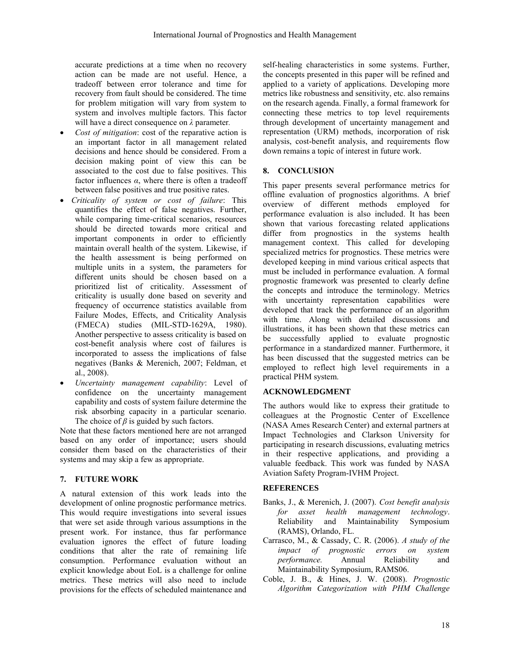accurate predictions at a time when no recovery action can be made are not useful. Hence, a tradeoff between error tolerance and time for recovery from fault should be considered. The time for problem mitigation will vary from system to system and involves multiple factors. This factor will have a direct consequence on *λ* parameter*.*

- *Cost of mitigation*: cost of the reparative action is an important factor in all management related decisions and hence should be considered. From a decision making point of view this can be associated to the cost due to false positives. This factor influences *α*, where there is often a tradeoff between false positives and true positive rates.
- *Criticality of system or cost of failure*: This quantifies the effect of false negatives. Further, while comparing time-critical scenarios, resources should be directed towards more critical and important components in order to efficiently maintain overall health of the system. Likewise, if the health assessment is being performed on multiple units in a system, the parameters for different units should be chosen based on a prioritized list of criticality. Assessment of criticality is usually done based on severity and frequency of occurrence statistics available from Failure Modes, Effects, and Criticality Analysis (FMECA) studies (MIL-STD-1629A, 1980). Another perspective to assess criticality is based on cost-benefit analysis where cost of failures is incorporated to assess the implications of false negatives (Banks & Merenich, 2007; Feldman, et al., 2008).
- *Uncertainty management capability*: Level of confidence on the uncertainty management capability and costs of system failure determine the risk absorbing capacity in a particular scenario. The choice of  $\beta$  is guided by such factors.

Note that these factors mentioned here are not arranged based on any order of importance; users should consider them based on the characteristics of their systems and may skip a few as appropriate.

# **7. FUTURE WORK**

A natural extension of this work leads into the development of online prognostic performance metrics. This would require investigations into several issues that were set aside through various assumptions in the present work. For instance, thus far performance evaluation ignores the effect of future loading conditions that alter the rate of remaining life consumption. Performance evaluation without an explicit knowledge about EoL is a challenge for online metrics. These metrics will also need to include provisions for the effects of scheduled maintenance and

self-healing characteristics in some systems. Further, the concepts presented in this paper will be refined and applied to a variety of applications. Developing more metrics like robustness and sensitivity, etc. also remains on the research agenda. Finally, a formal framework for connecting these metrics to top level requirements through development of uncertainty management and representation (URM) methods, incorporation of risk analysis, cost-benefit analysis, and requirements flow down remains a topic of interest in future work.

# **8. CONCLUSION**

This paper presents several performance metrics for offline evaluation of prognostics algorithms. A brief overview of different methods employed for performance evaluation is also included. It has been shown that various forecasting related applications differ from prognostics in the systems health management context. This called for developing specialized metrics for prognostics. These metrics were developed keeping in mind various critical aspects that must be included in performance evaluation. A formal prognostic framework was presented to clearly define the concepts and introduce the terminology. Metrics with uncertainty representation capabilities were developed that track the performance of an algorithm with time. Along with detailed discussions and illustrations, it has been shown that these metrics can be successfully applied to evaluate prognostic performance in a standardized manner. Furthermore, it has been discussed that the suggested metrics can be employed to reflect high level requirements in a practical PHM system.

# **ACKNOWLEDGMENT**

The authors would like to express their gratitude to colleagues at the Prognostic Center of Excellence (NASA Ames Research Center) and external partners at Impact Technologies and Clarkson University for participating in research discussions, evaluating metrics in their respective applications, and providing a valuable feedback. This work was funded by NASA Aviation Safety Program-IVHM Project.

# **REFERENCES**

- Banks, J., & Merenich, J. (2007). *Cost benefit analysis for asset health management technology*. Reliability and Maintainability Symposium (RAMS), Orlando, FL.
- Carrasco, M., & Cassady, C. R. (2006). *A study of the impact of prognostic errors on system performance.* Annual Reliability and Maintainability Symposium, RAMS06.
- Coble, J. B., & Hines, J. W. (2008). *Prognostic Algorithm Categorization with PHM Challenge*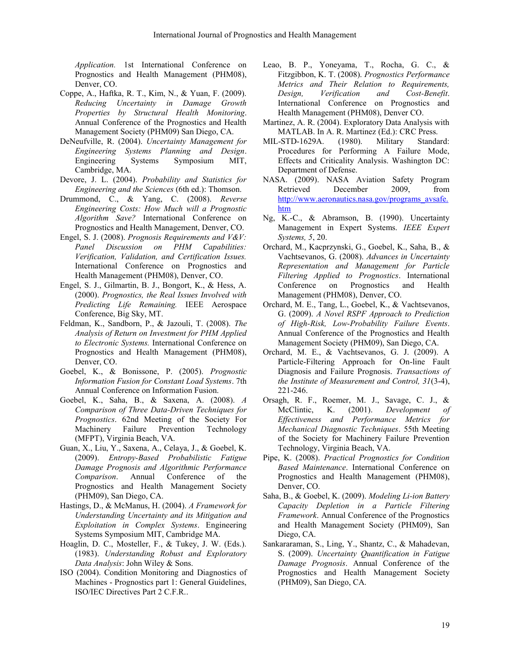*Application.* 1st International Conference on Prognostics and Health Management (PHM08), Denver, CO.

- Coppe, A., Haftka, R. T., Kim, N., & Yuan, F. (2009). *Reducing Uncertainty in Damage Growth Properties by Structural Health Monitoring*. Annual Conference of the Prognostics and Health Management Society (PHM09) San Diego, CA.
- DeNeufville, R. (2004). *Uncertainty Management for Engineering Systems Planning and Design*. Engineering Systems Symposium MIT, Cambridge, MA.
- Devore, J. L. (2004). *Probability and Statistics for Engineering and the Sciences* (6th ed.): Thomson.
- Drummond, C., & Yang, C. (2008). *Reverse Engineering Costs: How Much will a Prognostic Algorithm Save?* International Conference on Prognostics and Health Management, Denver, CO.
- Engel, S. J. (2008). *Prognosis Requirements and V&V: Panel Discussion on PHM Capabilities: Verification, Validation, and Certification Issues.* International Conference on Prognostics and Health Management (PHM08), Denver, CO.
- Engel, S. J., Gilmartin, B. J., Bongort, K., & Hess, A. (2000). *Prognostics, the Real Issues Involved with Predicting Life Remaining.* IEEE Aerospace Conference, Big Sky, MT.
- Feldman, K., Sandborn, P., & Jazouli, T. (2008). *The Analysis of Return on Investment for PHM Applied to Electronic Systems.* International Conference on Prognostics and Health Management (PHM08), Denver, CO.
- Goebel, K., & Bonissone, P. (2005). *Prognostic Information Fusion for Constant Load Systems*. 7th Annual Conference on Information Fusion.
- Goebel, K., Saha, B., & Saxena, A. (2008). *A Comparison of Three Data-Driven Techniques for Prognostics*. 62nd Meeting of the Society For Machinery Failure Prevention Technology (MFPT), Virginia Beach, VA.
- Guan, X., Liu, Y., Saxena, A., Celaya, J., & Goebel, K. (2009). *Entropy-Based Probabilistic Fatigue Damage Prognosis and Algorithmic Performance Comparison*. Annual Conference of the Prognostics and Health Management Society (PHM09), San Diego, CA.
- Hastings, D., & McManus, H. (2004). *A Framework for Understanding Uncertainty and its Mitigation and Exploitation in Complex Systems*. Engineering Systems Symposium MIT, Cambridge MA.
- Hoaglin, D. C., Mosteller, F., & Tukey, J. W. (Eds.). (1983). *Understanding Robust and Exploratory Data Analysis*: John Wiley & Sons.
- ISO (2004). Condition Monitoring and Diagnostics of Machines - Prognostics part 1: General Guidelines, ISO/IEC Directives Part 2 C.F.R..
- Leao, B. P., Yoneyama, T., Rocha, G. C., & Fitzgibbon, K. T. (2008). *Prognostics Performance Metrics and Their Relation to Requirements, Design, Verification and Cost-Benefit*. International Conference on Prognostics and Health Management (PHM08), Denver CO.
- Martinez, A. R. (2004). Exploratory Data Analysis with MATLAB. In A. R. Martinez (Ed.): CRC Press.
- MIL-STD-1629A. (1980). Military Standard: Procedures for Performing A Failure Mode, Effects and Criticality Analysis. Washington DC: Department of Defense.
- NASA. (2009). NASA Aviation Safety Program Retrieved December 2009, from [http://www.aeronautics.nasa.gov/programs\\_avsafe.](http://www.aeronautics.nasa.gov/programs_avsafe.htm) [htm](http://www.aeronautics.nasa.gov/programs_avsafe.htm)
- Ng, K.-C., & Abramson, B. (1990). Uncertainty Management in Expert Systems. *IEEE Expert Systems, 5*, 20.
- Orchard, M., Kacprzynski, G., Goebel, K., Saha, B., & Vachtsevanos, G. (2008). *Advances in Uncertainty Representation and Management for Particle Filtering Applied to Prognostics*. International Conference on Prognostics and Health Management (PHM08), Denver, CO.
- Orchard, M. E., Tang, L., Goebel, K., & Vachtsevanos, G. (2009). *A Novel RSPF Approach to Prediction of High-Risk, Low-Probability Failure Events*. Annual Conference of the Prognostics and Health Management Society (PHM09), San Diego, CA.
- Orchard, M. E., & Vachtsevanos, G. J. (2009). A Particle-Filtering Approach for On-line Fault Diagnosis and Failure Prognosis. *Transactions of the Institute of Measurement and Control, 31*(3-4), 221-246.
- Orsagh, R. F., Roemer, M. J., Savage, C. J., & McClintic, K. (2001). *Development of Effectiveness and Performance Metrics for Mechanical Diagnostic Techniques*. 55th Meeting of the Society for Machinery Failure Prevention Technology, Virginia Beach, VA.
- Pipe, K. (2008). *Practical Prognostics for Condition Based Maintenance*. International Conference on Prognostics and Health Management (PHM08), Denver, CO.
- Saha, B., & Goebel, K. (2009). *Modeling Li-ion Battery Capacity Depletion in a Particle Filtering Framework*. Annual Conference of the Prognostics and Health Management Society (PHM09), San Diego, CA.
- Sankararaman, S., Ling, Y., Shantz, C., & Mahadevan, S. (2009). *Uncertainty Quantification in Fatigue Damage Prognosis*. Annual Conference of the Prognostics and Health Management Society (PHM09), San Diego, CA.